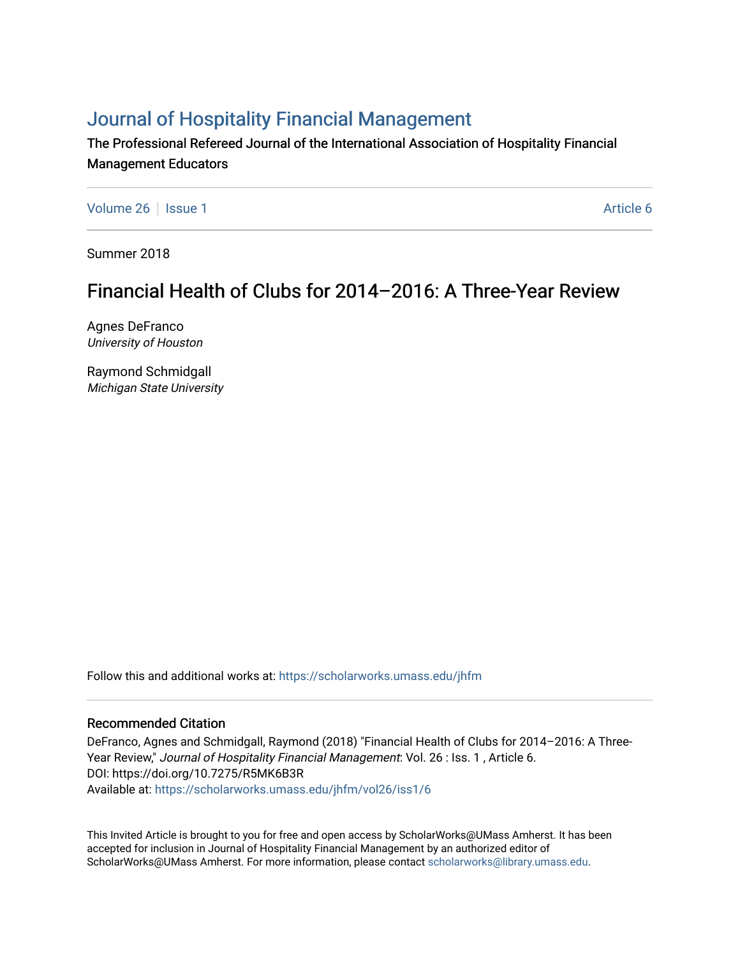# [Journal of Hospitality Financial Management](https://scholarworks.umass.edu/jhfm)

The Professional Refereed Journal of the International Association of Hospitality Financial Management Educators

[Volume 26](https://scholarworks.umass.edu/jhfm/vol26) | [Issue 1](https://scholarworks.umass.edu/jhfm/vol26/iss1) Article 6

Summer 2018

# Financial Health of Clubs for 2014–2016: A Three-Year Review

Agnes DeFranco University of Houston

Raymond Schmidgall Michigan State University

Follow this and additional works at: [https://scholarworks.umass.edu/jhfm](https://scholarworks.umass.edu/jhfm?utm_source=scholarworks.umass.edu%2Fjhfm%2Fvol26%2Fiss1%2F6&utm_medium=PDF&utm_campaign=PDFCoverPages) 

# Recommended Citation

DeFranco, Agnes and Schmidgall, Raymond (2018) "Financial Health of Clubs for 2014–2016: A Three-Year Review," Journal of Hospitality Financial Management: Vol. 26 : Iss. 1, Article 6. DOI: https://doi.org/10.7275/R5MK6B3R Available at: [https://scholarworks.umass.edu/jhfm/vol26/iss1/6](https://scholarworks.umass.edu/jhfm/vol26/iss1/6?utm_source=scholarworks.umass.edu%2Fjhfm%2Fvol26%2Fiss1%2F6&utm_medium=PDF&utm_campaign=PDFCoverPages) 

This Invited Article is brought to you for free and open access by ScholarWorks@UMass Amherst. It has been accepted for inclusion in Journal of Hospitality Financial Management by an authorized editor of ScholarWorks@UMass Amherst. For more information, please contact [scholarworks@library.umass.edu.](mailto:scholarworks@library.umass.edu)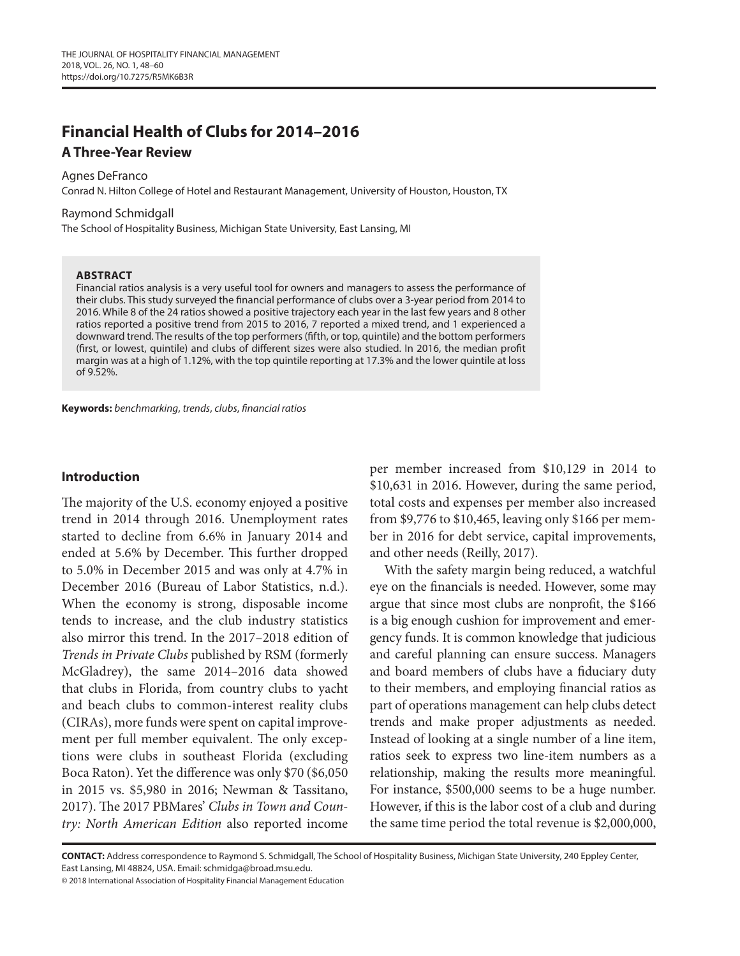# **Financial Health of Clubs for 2014–2016**

# **A Three-Year Review**

#### Agnes DeFranco

Conrad N. Hilton College of Hotel and Restaurant Management, University of Houston, Houston, TX

#### Raymond Schmidgall

The School of Hospitality Business, Michigan State University, East Lansing, MI

#### **ABSTRACT**

Financial ratios analysis is a very useful tool for owners and managers to assess the performance of their clubs. This study surveyed the financial performance of clubs over a 3-year period from 2014 to 2016. While 8 of the 24 ratios showed a positive trajectory each year in the last few years and 8 other ratios reported a positive trend from 2015 to 2016, 7 reported a mixed trend, and 1 experienced a downward trend. The results of the top performers (fifth, or top, quintile) and the bottom performers (first, or lowest, quintile) and clubs of different sizes were also studied. In 2016, the median profit margin was at a high of 1.12%, with the top quintile reporting at 17.3% and the lower quintile at loss of 9.52%.

**Keywords:** *benchmarking*, *trends*, *clubs*, *financial ratios*

## **Introduction**

The majority of the U.S. economy enjoyed a positive trend in 2014 through 2016. Unemployment rates started to decline from 6.6% in January 2014 and ended at 5.6% by December. This further dropped to 5.0% in December 2015 and was only at 4.7% in December 2016 (Bureau of Labor Statistics, n.d.). When the economy is strong, disposable income tends to increase, and the club industry statistics also mirror this trend. In the 2017–2018 edition of *Trends in Private Clubs* published by RSM (formerly McGladrey), the same 2014–2016 data showed that clubs in Florida, from country clubs to yacht and beach clubs to common-interest reality clubs (CIRAs), more funds were spent on capital improvement per full member equivalent. The only exceptions were clubs in southeast Florida (excluding Boca Raton). Yet the difference was only \$70 (\$6,050 in 2015 vs. \$5,980 in 2016; Newman & Tassitano, 2017). The 2017 PBMares' *Clubs in Town and Country: North American Edition* also reported income per member increased from \$10,129 in 2014 to \$10,631 in 2016. However, during the same period, total costs and expenses per member also increased from \$9,776 to \$10,465, leaving only \$166 per member in 2016 for debt service, capital improvements, and other needs (Reilly, 2017).

With the safety margin being reduced, a watchful eye on the financials is needed. However, some may argue that since most clubs are nonprofit, the \$166 is a big enough cushion for improvement and emergency funds. It is common knowledge that judicious and careful planning can ensure success. Managers and board members of clubs have a fiduciary duty to their members, and employing financial ratios as part of operations management can help clubs detect trends and make proper adjustments as needed. Instead of looking at a single number of a line item, ratios seek to express two line-item numbers as a relationship, making the results more meaningful. For instance, \$500,000 seems to be a huge number. However, if this is the labor cost of a club and during the same time period the total revenue is \$2,000,000,

**CONTACT:** Address correspondence to Raymond S. Schmidgall, The School of Hospitality Business, Michigan State University, 240 Eppley Center, East Lansing, MI 48824, USA. Email: schmidga@broad.msu.edu.

© 2018 International Association of Hospitality Financial Management Education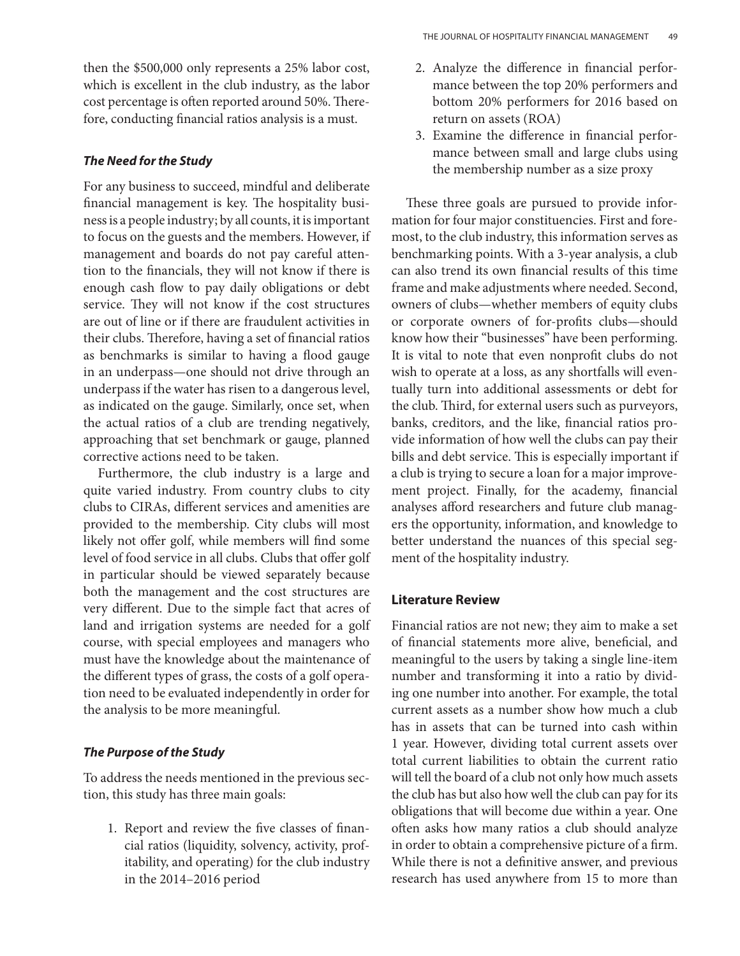then the \$500,000 only represents a 25% labor cost, which is excellent in the club industry, as the labor cost percentage is often reported around 50%. Therefore, conducting financial ratios analysis is a must.

## *The Need for the Study*

For any business to succeed, mindful and deliberate financial management is key. The hospitality business is a people industry; by all counts, it is important to focus on the guests and the members. However, if management and boards do not pay careful attention to the financials, they will not know if there is enough cash flow to pay daily obligations or debt service. They will not know if the cost structures are out of line or if there are fraudulent activities in their clubs. Therefore, having a set of financial ratios as benchmarks is similar to having a flood gauge in an underpass—one should not drive through an underpass if the water has risen to a dangerous level, as indicated on the gauge. Similarly, once set, when the actual ratios of a club are trending negatively, approaching that set benchmark or gauge, planned corrective actions need to be taken.

Furthermore, the club industry is a large and quite varied industry. From country clubs to city clubs to CIRAs, different services and amenities are provided to the membership. City clubs will most likely not offer golf, while members will find some level of food service in all clubs. Clubs that offer golf in particular should be viewed separately because both the management and the cost structures are very different. Due to the simple fact that acres of land and irrigation systems are needed for a golf course, with special employees and managers who must have the knowledge about the maintenance of the different types of grass, the costs of a golf operation need to be evaluated independently in order for the analysis to be more meaningful.

## *The Purpose of the Study*

To address the needs mentioned in the previous section, this study has three main goals:

1. Report and review the five classes of financial ratios (liquidity, solvency, activity, profitability, and operating) for the club industry in the 2014–2016 period

- 2. Analyze the difference in financial performance between the top 20% performers and bottom 20% performers for 2016 based on return on assets (ROA)
- 3. Examine the difference in financial performance between small and large clubs using the membership number as a size proxy

These three goals are pursued to provide information for four major constituencies. First and foremost, to the club industry, this information serves as benchmarking points. With a 3-year analysis, a club can also trend its own financial results of this time frame and make adjustments where needed. Second, owners of clubs—whether members of equity clubs or corporate owners of for-profits clubs—should know how their "businesses" have been performing. It is vital to note that even nonprofit clubs do not wish to operate at a loss, as any shortfalls will eventually turn into additional assessments or debt for the club. Third, for external users such as purveyors, banks, creditors, and the like, financial ratios provide information of how well the clubs can pay their bills and debt service. This is especially important if a club is trying to secure a loan for a major improvement project. Finally, for the academy, financial analyses afford researchers and future club managers the opportunity, information, and knowledge to better understand the nuances of this special segment of the hospitality industry.

## **Literature Review**

Financial ratios are not new; they aim to make a set of financial statements more alive, beneficial, and meaningful to the users by taking a single line-item number and transforming it into a ratio by dividing one number into another. For example, the total current assets as a number show how much a club has in assets that can be turned into cash within 1 year. However, dividing total current assets over total current liabilities to obtain the current ratio will tell the board of a club not only how much assets the club has but also how well the club can pay for its obligations that will become due within a year. One often asks how many ratios a club should analyze in order to obtain a comprehensive picture of a firm. While there is not a definitive answer, and previous research has used anywhere from 15 to more than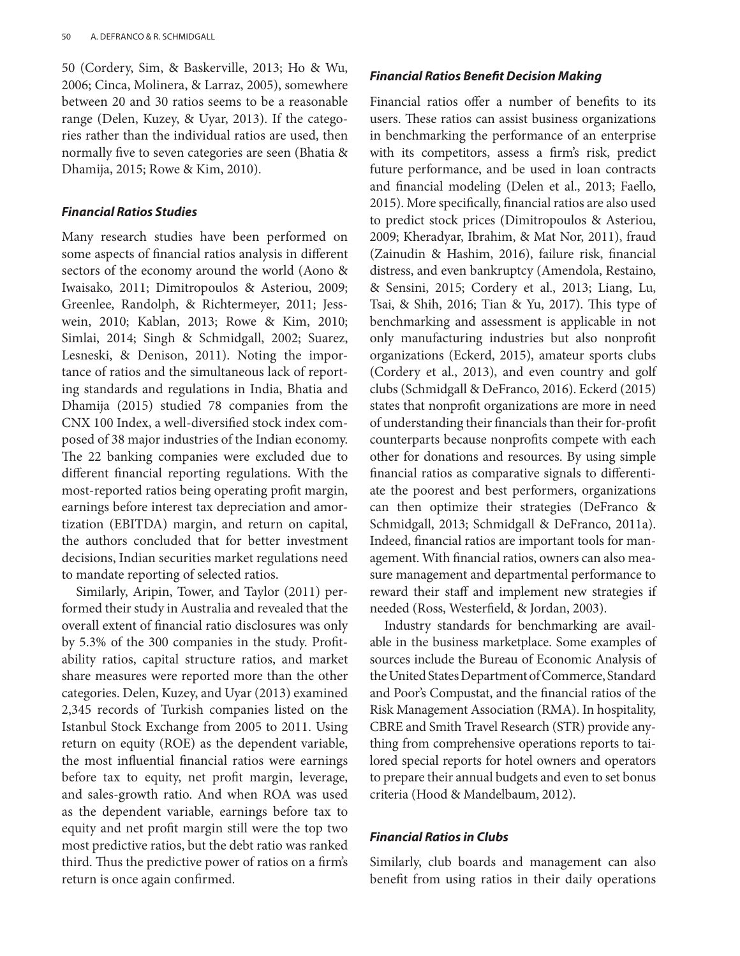50 (Cordery, Sim, & Baskerville, 2013; Ho & Wu, 2006; Cinca, Molinera, & Larraz, 2005), somewhere between 20 and 30 ratios seems to be a reasonable range (Delen, Kuzey, & Uyar, 2013). If the categories rather than the individual ratios are used, then normally five to seven categories are seen (Bhatia & Dhamija, 2015; Rowe & Kim, 2010).

#### *Financial Ratios Studies*

Many research studies have been performed on some aspects of financial ratios analysis in different sectors of the economy around the world (Aono & Iwaisako, 2011; Dimitropoulos & Asteriou, 2009; Greenlee, Randolph, & Richtermeyer, 2011; Jesswein, 2010; Kablan, 2013; Rowe & Kim, 2010; Simlai, 2014; Singh & Schmidgall, 2002; Suarez, Lesneski, & Denison, 2011). Noting the importance of ratios and the simultaneous lack of reporting standards and regulations in India, Bhatia and Dhamija (2015) studied 78 companies from the CNX 100 Index, a well-diversified stock index composed of 38 major industries of the Indian economy. The 22 banking companies were excluded due to different financial reporting regulations. With the most-reported ratios being operating profit margin, earnings before interest tax depreciation and amortization (EBITDA) margin, and return on capital, the authors concluded that for better investment decisions, Indian securities market regulations need to mandate reporting of selected ratios.

Similarly, Aripin, Tower, and Taylor (2011) performed their study in Australia and revealed that the overall extent of financial ratio disclosures was only by 5.3% of the 300 companies in the study. Profitability ratios, capital structure ratios, and market share measures were reported more than the other categories. Delen, Kuzey, and Uyar (2013) examined 2,345 records of Turkish companies listed on the Istanbul Stock Exchange from 2005 to 2011. Using return on equity (ROE) as the dependent variable, the most influential financial ratios were earnings before tax to equity, net profit margin, leverage, and sales-growth ratio. And when ROA was used as the dependent variable, earnings before tax to equity and net profit margin still were the top two most predictive ratios, but the debt ratio was ranked third. Thus the predictive power of ratios on a firm's return is once again confirmed.

## *Financial Ratios Benefit Decision Making*

Financial ratios offer a number of benefits to its users. These ratios can assist business organizations in benchmarking the performance of an enterprise with its competitors, assess a firm's risk, predict future performance, and be used in loan contracts and financial modeling (Delen et al., 2013; Faello, 2015). More specifically, financial ratios are also used to predict stock prices (Dimitropoulos & Asteriou, 2009; Kheradyar, Ibrahim, & Mat Nor, 2011), fraud (Zainudin & Hashim, 2016), failure risk, financial distress, and even bankruptcy (Amendola, Restaino, & Sensini, 2015; Cordery et al., 2013; Liang, Lu, Tsai, & Shih, 2016; Tian & Yu, 2017). This type of benchmarking and assessment is applicable in not only manufacturing industries but also nonprofit organizations (Eckerd, 2015), amateur sports clubs (Cordery et al., 2013), and even country and golf clubs (Schmidgall & DeFranco, 2016). Eckerd (2015) states that nonprofit organizations are more in need of understanding their financials than their for-profit counterparts because nonprofits compete with each other for donations and resources. By using simple financial ratios as comparative signals to differentiate the poorest and best performers, organizations can then optimize their strategies (DeFranco & Schmidgall, 2013; Schmidgall & DeFranco, 2011a). Indeed, financial ratios are important tools for management. With financial ratios, owners can also measure management and departmental performance to reward their staff and implement new strategies if needed (Ross, Westerfield, & Jordan, 2003).

Industry standards for benchmarking are available in the business marketplace. Some examples of sources include the Bureau of Economic Analysis of the United States Department of Commerce, Standard and Poor's Compustat, and the financial ratios of the Risk Management Association (RMA). In hospitality, CBRE and Smith Travel Research (STR) provide anything from comprehensive operations reports to tailored special reports for hotel owners and operators to prepare their annual budgets and even to set bonus criteria (Hood & Mandelbaum, 2012).

#### *Financial Ratios in Clubs*

Similarly, club boards and management can also benefit from using ratios in their daily operations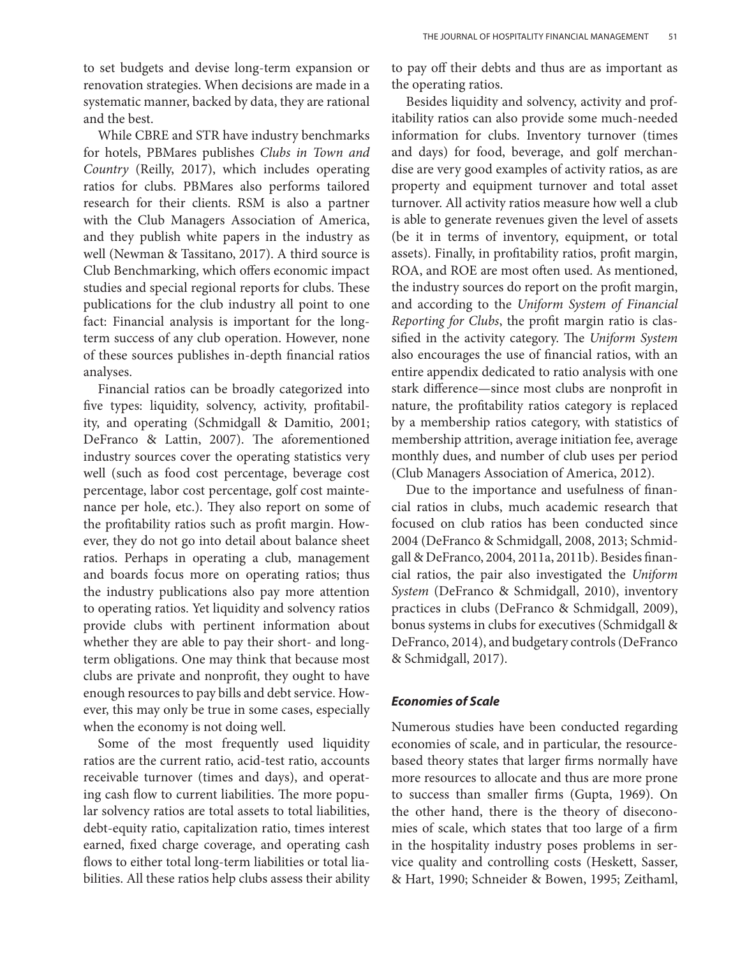to set budgets and devise long-term expansion or renovation strategies. When decisions are made in a systematic manner, backed by data, they are rational and the best.

While CBRE and STR have industry benchmarks for hotels, PBMares publishes *Clubs in Town and Country* (Reilly, 2017), which includes operating ratios for clubs. PBMares also performs tailored research for their clients. RSM is also a partner with the Club Managers Association of America, and they publish white papers in the industry as well (Newman & Tassitano, 2017). A third source is Club Benchmarking, which offers economic impact studies and special regional reports for clubs. These publications for the club industry all point to one fact: Financial analysis is important for the longterm success of any club operation. However, none of these sources publishes in-depth financial ratios analyses.

Financial ratios can be broadly categorized into five types: liquidity, solvency, activity, profitability, and operating (Schmidgall & Damitio, 2001; DeFranco & Lattin, 2007). The aforementioned industry sources cover the operating statistics very well (such as food cost percentage, beverage cost percentage, labor cost percentage, golf cost maintenance per hole, etc.). They also report on some of the profitability ratios such as profit margin. However, they do not go into detail about balance sheet ratios. Perhaps in operating a club, management and boards focus more on operating ratios; thus the industry publications also pay more attention to operating ratios. Yet liquidity and solvency ratios provide clubs with pertinent information about whether they are able to pay their short- and longterm obligations. One may think that because most clubs are private and nonprofit, they ought to have enough resources to pay bills and debt service. However, this may only be true in some cases, especially when the economy is not doing well.

Some of the most frequently used liquidity ratios are the current ratio, acid-test ratio, accounts receivable turnover (times and days), and operating cash flow to current liabilities. The more popular solvency ratios are total assets to total liabilities, debt-equity ratio, capitalization ratio, times interest earned, fixed charge coverage, and operating cash flows to either total long-term liabilities or total liabilities. All these ratios help clubs assess their ability to pay off their debts and thus are as important as the operating ratios.

Besides liquidity and solvency, activity and profitability ratios can also provide some much-needed information for clubs. Inventory turnover (times and days) for food, beverage, and golf merchandise are very good examples of activity ratios, as are property and equipment turnover and total asset turnover. All activity ratios measure how well a club is able to generate revenues given the level of assets (be it in terms of inventory, equipment, or total assets). Finally, in profitability ratios, profit margin, ROA, and ROE are most often used. As mentioned, the industry sources do report on the profit margin, and according to the *Uniform System of Financial Reporting for Clubs*, the profit margin ratio is classified in the activity category. The *Uniform System* also encourages the use of financial ratios, with an entire appendix dedicated to ratio analysis with one stark difference—since most clubs are nonprofit in nature, the profitability ratios category is replaced by a membership ratios category, with statistics of membership attrition, average initiation fee, average monthly dues, and number of club uses per period (Club Managers Association of America, 2012).

Due to the importance and usefulness of financial ratios in clubs, much academic research that focused on club ratios has been conducted since 2004 (DeFranco & Schmidgall, 2008, 2013; Schmidgall & DeFranco, 2004, 2011a, 2011b). Besides financial ratios, the pair also investigated the *Uniform System* (DeFranco & Schmidgall, 2010), inventory practices in clubs (DeFranco & Schmidgall, 2009), bonus systems in clubs for executives (Schmidgall & DeFranco, 2014), and budgetary controls (DeFranco & Schmidgall, 2017).

## *Economies of Scale*

Numerous studies have been conducted regarding economies of scale, and in particular, the resourcebased theory states that larger firms normally have more resources to allocate and thus are more prone to success than smaller firms (Gupta, 1969). On the other hand, there is the theory of diseconomies of scale, which states that too large of a firm in the hospitality industry poses problems in service quality and controlling costs (Heskett, Sasser, & Hart, 1990; Schneider & Bowen, 1995; Zeithaml,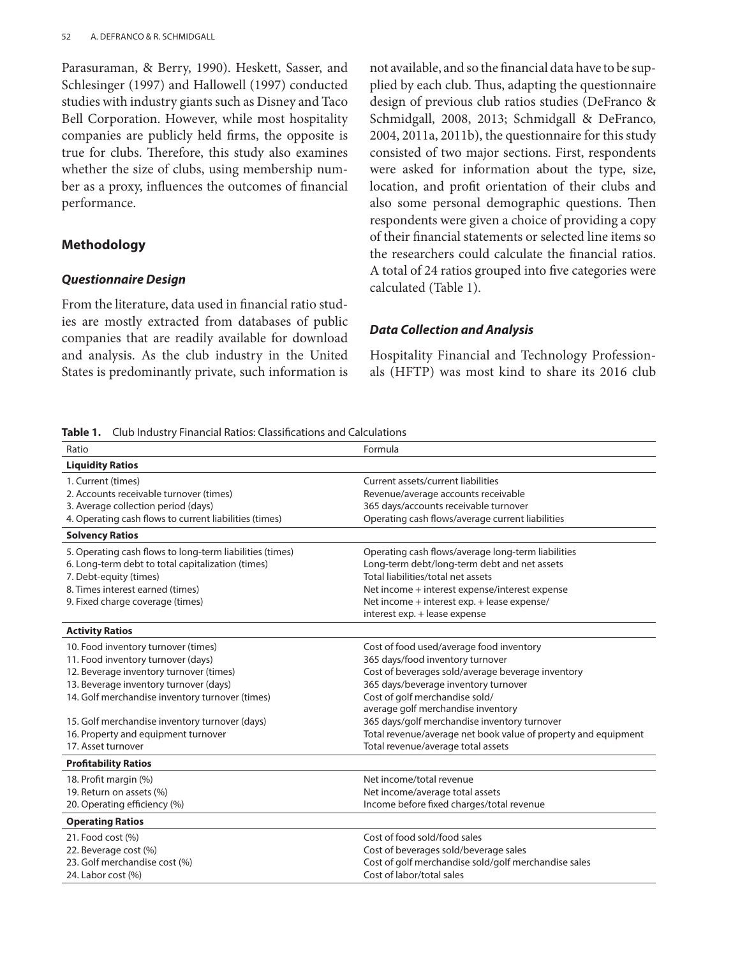Parasuraman, & Berry, 1990). Heskett, Sasser, and Schlesinger (1997) and Hallowell (1997) conducted studies with industry giants such as Disney and Taco Bell Corporation. However, while most hospitality companies are publicly held firms, the opposite is true for clubs. Therefore, this study also examines whether the size of clubs, using membership number as a proxy, influences the outcomes of financial performance.

## **Methodology**

#### *Questionnaire Design*

From the literature, data used in financial ratio studies are mostly extracted from databases of public companies that are readily available for download and analysis. As the club industry in the United States is predominantly private, such information is

not available, and so the financial data have to be supplied by each club. Thus, adapting the questionnaire design of previous club ratios studies (DeFranco & Schmidgall, 2008, 2013; Schmidgall & DeFranco, 2004, 2011a, 2011b), the questionnaire for this study consisted of two major sections. First, respondents were asked for information about the type, size, location, and profit orientation of their clubs and also some personal demographic questions. Then respondents were given a choice of providing a copy of their financial statements or selected line items so the researchers could calculate the financial ratios. A total of 24 ratios grouped into five categories were calculated (Table 1).

#### *Data Collection and Analysis*

Hospitality Financial and Technology Professionals (HFTP) was most kind to share its 2016 club

**Table 1.** Club Industry Financial Ratios: Classifications and Calculations

| Ratio                                                    | Formula                                                        |
|----------------------------------------------------------|----------------------------------------------------------------|
| <b>Liquidity Ratios</b>                                  |                                                                |
| 1. Current (times)                                       | Current assets/current liabilities                             |
| 2. Accounts receivable turnover (times)                  | Revenue/average accounts receivable                            |
| 3. Average collection period (days)                      | 365 days/accounts receivable turnover                          |
| 4. Operating cash flows to current liabilities (times)   | Operating cash flows/average current liabilities               |
| <b>Solvency Ratios</b>                                   |                                                                |
| 5. Operating cash flows to long-term liabilities (times) | Operating cash flows/average long-term liabilities             |
| 6. Long-term debt to total capitalization (times)        | Long-term debt/long-term debt and net assets                   |
| 7. Debt-equity (times)                                   | Total liabilities/total net assets                             |
| 8. Times interest earned (times)                         | Net income + interest expense/interest expense                 |
| 9. Fixed charge coverage (times)                         | Net income + interest exp. + lease expense/                    |
|                                                          | interest exp. + lease expense                                  |
| <b>Activity Ratios</b>                                   |                                                                |
| 10. Food inventory turnover (times)                      | Cost of food used/average food inventory                       |
| 11. Food inventory turnover (days)                       | 365 days/food inventory turnover                               |
| 12. Beverage inventory turnover (times)                  | Cost of beverages sold/average beverage inventory              |
| 13. Beverage inventory turnover (days)                   | 365 days/beverage inventory turnover                           |
| 14. Golf merchandise inventory turnover (times)          | Cost of golf merchandise sold/                                 |
|                                                          | average golf merchandise inventory                             |
| 15. Golf merchandise inventory turnover (days)           | 365 days/golf merchandise inventory turnover                   |
| 16. Property and equipment turnover                      | Total revenue/average net book value of property and equipment |
| 17. Asset turnover                                       | Total revenue/average total assets                             |
| <b>Profitability Ratios</b>                              |                                                                |
| 18. Profit margin (%)                                    | Net income/total revenue                                       |
| 19. Return on assets (%)                                 | Net income/average total assets                                |
| 20. Operating efficiency (%)                             | Income before fixed charges/total revenue                      |
| <b>Operating Ratios</b>                                  |                                                                |
| 21. Food cost (%)                                        | Cost of food sold/food sales                                   |
| 22. Beverage cost (%)                                    | Cost of beverages sold/beverage sales                          |
| 23. Golf merchandise cost (%)                            | Cost of golf merchandise sold/golf merchandise sales           |
| 24. Labor cost (%)                                       | Cost of labor/total sales                                      |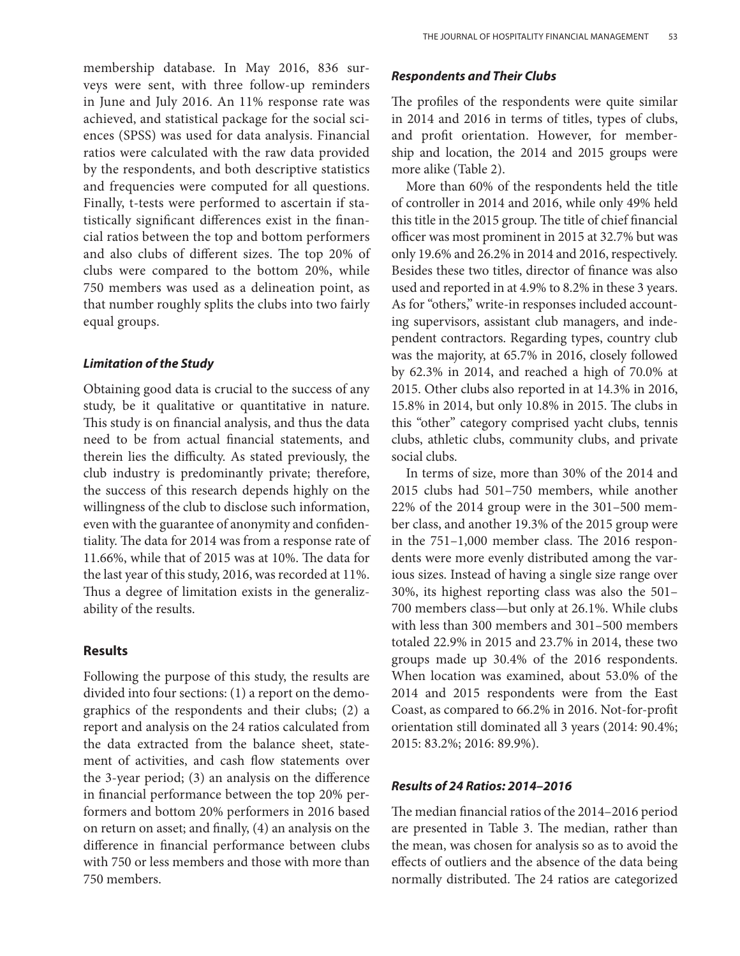membership database. In May 2016, 836 surveys were sent, with three follow-up reminders in June and July 2016. An 11% response rate was achieved, and statistical package for the social sciences (SPSS) was used for data analysis. Financial ratios were calculated with the raw data provided by the respondents, and both descriptive statistics and frequencies were computed for all questions. Finally, t-tests were performed to ascertain if statistically significant differences exist in the financial ratios between the top and bottom performers and also clubs of different sizes. The top 20% of clubs were compared to the bottom 20%, while 750 members was used as a delineation point, as that number roughly splits the clubs into two fairly equal groups.

## *Limitation of the Study*

Obtaining good data is crucial to the success of any study, be it qualitative or quantitative in nature. This study is on financial analysis, and thus the data need to be from actual financial statements, and therein lies the difficulty. As stated previously, the club industry is predominantly private; therefore, the success of this research depends highly on the willingness of the club to disclose such information, even with the guarantee of anonymity and confidentiality. The data for 2014 was from a response rate of 11.66%, while that of 2015 was at 10%. The data for the last year of this study, 2016, was recorded at 11%. Thus a degree of limitation exists in the generalizability of the results.

# **Results**

Following the purpose of this study, the results are divided into four sections: (1) a report on the demographics of the respondents and their clubs; (2) a report and analysis on the 24 ratios calculated from the data extracted from the balance sheet, statement of activities, and cash flow statements over the 3-year period; (3) an analysis on the difference in financial performance between the top 20% performers and bottom 20% performers in 2016 based on return on asset; and finally, (4) an analysis on the difference in financial performance between clubs with 750 or less members and those with more than 750 members.

## *Respondents and Their Clubs*

The profiles of the respondents were quite similar in 2014 and 2016 in terms of titles, types of clubs, and profit orientation. However, for membership and location, the 2014 and 2015 groups were more alike (Table 2).

More than 60% of the respondents held the title of controller in 2014 and 2016, while only 49% held this title in the 2015 group. The title of chief financial officer was most prominent in 2015 at 32.7% but was only 19.6% and 26.2% in 2014 and 2016, respectively. Besides these two titles, director of finance was also used and reported in at 4.9% to 8.2% in these 3 years. As for "others," write-in responses included accounting supervisors, assistant club managers, and independent contractors. Regarding types, country club was the majority, at 65.7% in 2016, closely followed by 62.3% in 2014, and reached a high of 70.0% at 2015. Other clubs also reported in at 14.3% in 2016, 15.8% in 2014, but only 10.8% in 2015. The clubs in this "other" category comprised yacht clubs, tennis clubs, athletic clubs, community clubs, and private social clubs.

In terms of size, more than 30% of the 2014 and 2015 clubs had 501–750 members, while another 22% of the 2014 group were in the 301–500 member class, and another 19.3% of the 2015 group were in the 751–1,000 member class. The 2016 respondents were more evenly distributed among the various sizes. Instead of having a single size range over 30%, its highest reporting class was also the 501– 700 members class—but only at 26.1%. While clubs with less than 300 members and 301–500 members totaled 22.9% in 2015 and 23.7% in 2014, these two groups made up 30.4% of the 2016 respondents. When location was examined, about 53.0% of the 2014 and 2015 respondents were from the East Coast, as compared to 66.2% in 2016. Not-for-profit orientation still dominated all 3 years (2014: 90.4%; 2015: 83.2%; 2016: 89.9%).

# *Results of 24 Ratios: 2014–2016*

The median financial ratios of the 2014–2016 period are presented in Table 3. The median, rather than the mean, was chosen for analysis so as to avoid the effects of outliers and the absence of the data being normally distributed. The 24 ratios are categorized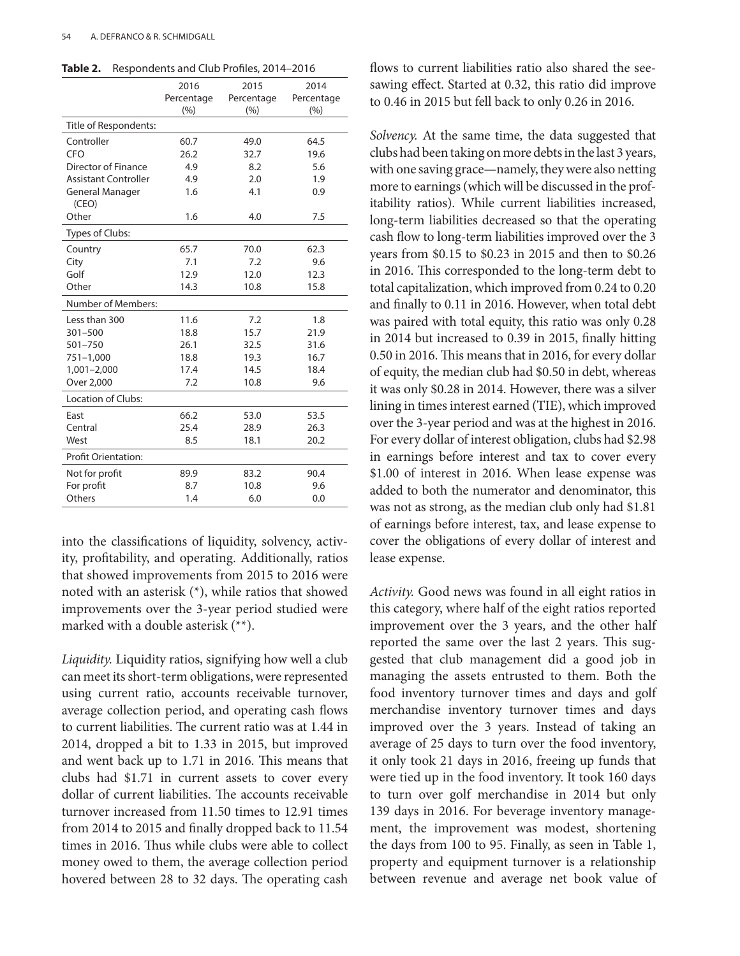| Table 2. | Respondents and Club Profiles, 2014–2016 |  |  |
|----------|------------------------------------------|--|--|
|----------|------------------------------------------|--|--|

|                             | 2016       | 2015       | 2014       |
|-----------------------------|------------|------------|------------|
|                             | Percentage | Percentage | Percentage |
|                             | (% )       | (%)        | (%)        |
| Title of Respondents:       |            |            |            |
| Controller                  | 60.7       | 49.0       | 64.5       |
| CFO                         | 26.2       | 32.7       | 19.6       |
| Director of Finance         | 4.9        | 8.2        | 5.6        |
| <b>Assistant Controller</b> | 4.9        | 2.0        | 1.9        |
| General Manager<br>(CEO)    | 1.6        | 4.1        | 0.9        |
| Other                       | 1.6        | 4.0        | 7.5        |
| Types of Clubs:             |            |            |            |
| Country                     | 65.7       | 70.0       | 62.3       |
| City                        | 7.1        | 7.2        | 9.6        |
| Golf                        | 12.9       | 12.0       | 12.3       |
| Other                       | 14.3       | 10.8       | 15.8       |
| Number of Members:          |            |            |            |
| Less than 300               | 11.6       | 7.2        | 1.8        |
| $301 - 500$                 | 18.8       | 15.7       | 21.9       |
| $501 - 750$                 | 26.1       | 32.5       | 31.6       |
| $751 - 1,000$               | 18.8       | 19.3       | 16.7       |
| $1,001 - 2,000$             | 17.4       | 14.5       | 18.4       |
| Over 2,000                  | 7.2        | 10.8       | 9.6        |
| <b>Location of Clubs:</b>   |            |            |            |
| East                        | 66.2       | 53.0       | 53.5       |
| Central                     | 25.4       | 28.9       | 26.3       |
| West                        | 8.5        | 18.1       | 20.2       |
| <b>Profit Orientation:</b>  |            |            |            |
| Not for profit              | 89.9       | 83.2       | 90.4       |
| For profit                  | 8.7        | 10.8       | 9.6        |
| Others                      | 1.4        | 6.0        | 0.0        |
|                             |            |            |            |

into the classifications of liquidity, solvency, activity, profitability, and operating. Additionally, ratios that showed improvements from 2015 to 2016 were noted with an asterisk (\*), while ratios that showed improvements over the 3-year period studied were marked with a double asterisk (\*\*).

*Liquidity.* Liquidity ratios, signifying how well a club can meet its short-term obligations, were represented using current ratio, accounts receivable turnover, average collection period, and operating cash flows to current liabilities. The current ratio was at 1.44 in 2014, dropped a bit to 1.33 in 2015, but improved and went back up to 1.71 in 2016. This means that clubs had \$1.71 in current assets to cover every dollar of current liabilities. The accounts receivable turnover increased from 11.50 times to 12.91 times from 2014 to 2015 and finally dropped back to 11.54 times in 2016. Thus while clubs were able to collect money owed to them, the average collection period hovered between 28 to 32 days. The operating cash flows to current liabilities ratio also shared the seesawing effect. Started at 0.32, this ratio did improve to 0.46 in 2015 but fell back to only 0.26 in 2016.

*Solvency.* At the same time, the data suggested that clubs had been taking on more debts in the last 3 years, with one saving grace—namely, they were also netting more to earnings (which will be discussed in the profitability ratios). While current liabilities increased, long-term liabilities decreased so that the operating cash flow to long-term liabilities improved over the 3 years from \$0.15 to \$0.23 in 2015 and then to \$0.26 in 2016. This corresponded to the long-term debt to total capitalization, which improved from 0.24 to 0.20 and finally to 0.11 in 2016. However, when total debt was paired with total equity, this ratio was only 0.28 in 2014 but increased to 0.39 in 2015, finally hitting 0.50 in 2016. This means that in 2016, for every dollar of equity, the median club had \$0.50 in debt, whereas it was only \$0.28 in 2014. However, there was a silver lining in times interest earned (TIE), which improved over the 3-year period and was at the highest in 2016. For every dollar of interest obligation, clubs had \$2.98 in earnings before interest and tax to cover every \$1.00 of interest in 2016. When lease expense was added to both the numerator and denominator, this was not as strong, as the median club only had \$1.81 of earnings before interest, tax, and lease expense to cover the obligations of every dollar of interest and lease expense.

*Activity.* Good news was found in all eight ratios in this category, where half of the eight ratios reported improvement over the 3 years, and the other half reported the same over the last 2 years. This suggested that club management did a good job in managing the assets entrusted to them. Both the food inventory turnover times and days and golf merchandise inventory turnover times and days improved over the 3 years. Instead of taking an average of 25 days to turn over the food inventory, it only took 21 days in 2016, freeing up funds that were tied up in the food inventory. It took 160 days to turn over golf merchandise in 2014 but only 139 days in 2016. For beverage inventory management, the improvement was modest, shortening the days from 100 to 95. Finally, as seen in Table 1, property and equipment turnover is a relationship between revenue and average net book value of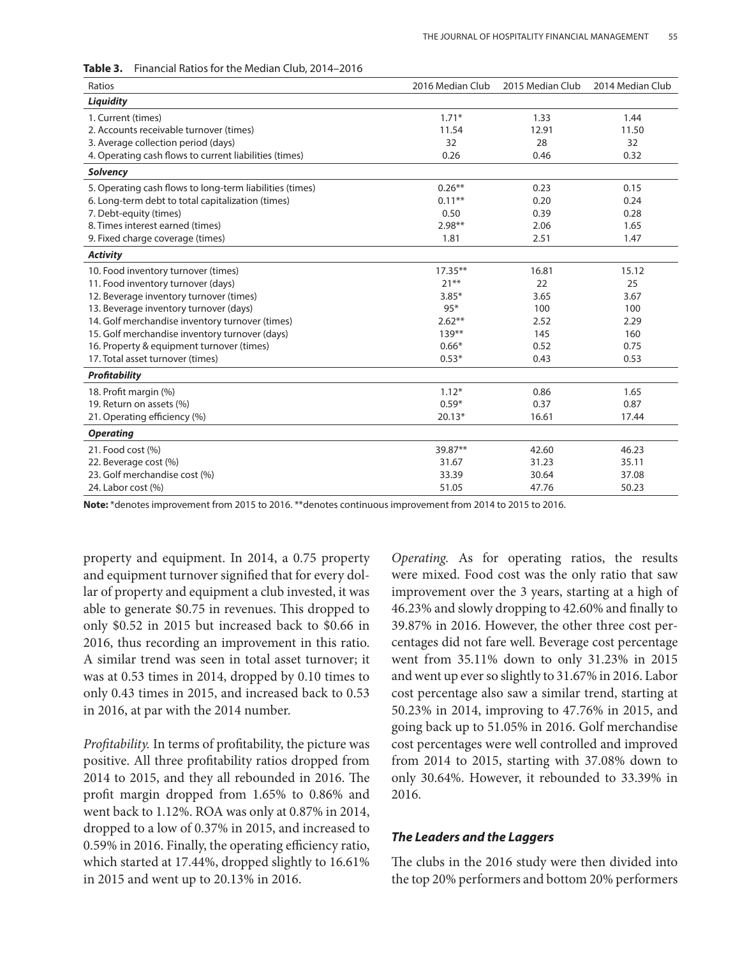| Ratios                                                   | 2016 Median Club | 2015 Median Club | 2014 Median Club |
|----------------------------------------------------------|------------------|------------------|------------------|
| Liquidity                                                |                  |                  |                  |
| 1. Current (times)                                       | $1.71*$          | 1.33             | 1.44             |
| 2. Accounts receivable turnover (times)                  | 11.54            | 12.91            | 11.50            |
| 3. Average collection period (days)                      | 32               | 28               | 32               |
| 4. Operating cash flows to current liabilities (times)   | 0.26             | 0.46             | 0.32             |
| <b>Solvency</b>                                          |                  |                  |                  |
| 5. Operating cash flows to long-term liabilities (times) | $0.26***$        | 0.23             | 0.15             |
| 6. Long-term debt to total capitalization (times)        | $0.11**$         | 0.20             | 0.24             |
| 7. Debt-equity (times)                                   | 0.50             | 0.39             | 0.28             |
| 8. Times interest earned (times)                         | $2.98**$         | 2.06             | 1.65             |
| 9. Fixed charge coverage (times)                         | 1.81             | 2.51             | 1.47             |
| <b>Activity</b>                                          |                  |                  |                  |
| 10. Food inventory turnover (times)                      | $17.35**$        | 16.81            | 15.12            |
| 11. Food inventory turnover (days)                       | $21***$          | 22               | 25               |
| 12. Beverage inventory turnover (times)                  | $3.85*$          | 3.65             | 3.67             |
| 13. Beverage inventory turnover (days)                   | $95*$            | 100              | 100              |
| 14. Golf merchandise inventory turnover (times)          | $2.62**$         | 2.52             | 2.29             |
| 15. Golf merchandise inventory turnover (days)           | $139***$         | 145              | 160              |
| 16. Property & equipment turnover (times)                | $0.66*$          | 0.52             | 0.75             |
| 17. Total asset turnover (times)                         | $0.53*$          | 0.43             | 0.53             |
| <b>Profitability</b>                                     |                  |                  |                  |
| 18. Profit margin (%)                                    | $1.12*$          | 0.86             | 1.65             |
| 19. Return on assets (%)                                 | $0.59*$          | 0.37             | 0.87             |
| 21. Operating efficiency (%)                             | $20.13*$         | 16.61            | 17.44            |
| <b>Operating</b>                                         |                  |                  |                  |
| 21. Food cost (%)                                        | 39.87**          | 42.60            | 46.23            |
| 22. Beverage cost (%)                                    | 31.67            | 31.23            | 35.11            |
| 23. Golf merchandise cost (%)                            | 33.39            | 30.64            | 37.08            |
| 24. Labor cost (%)                                       | 51.05            | 47.76            | 50.23            |

**Table 3.** Financial Ratios for the Median Club, 2014–2016

**Note:** \*denotes improvement from 2015 to 2016. \*\*denotes continuous improvement from 2014 to 2015 to 2016.

property and equipment. In 2014, a 0.75 property and equipment turnover signified that for every dollar of property and equipment a club invested, it was able to generate \$0.75 in revenues. This dropped to only \$0.52 in 2015 but increased back to \$0.66 in 2016, thus recording an improvement in this ratio. A similar trend was seen in total asset turnover; it was at 0.53 times in 2014, dropped by 0.10 times to only 0.43 times in 2015, and increased back to 0.53 in 2016, at par with the 2014 number.

*Profitability.* In terms of profitability, the picture was positive. All three profitability ratios dropped from 2014 to 2015, and they all rebounded in 2016. The profit margin dropped from 1.65% to 0.86% and went back to 1.12%. ROA was only at 0.87% in 2014, dropped to a low of 0.37% in 2015, and increased to 0.59% in 2016. Finally, the operating efficiency ratio, which started at 17.44%, dropped slightly to 16.61% in 2015 and went up to 20.13% in 2016.

*Operating.* As for operating ratios, the results were mixed. Food cost was the only ratio that saw improvement over the 3 years, starting at a high of 46.23% and slowly dropping to 42.60% and finally to 39.87% in 2016. However, the other three cost percentages did not fare well. Beverage cost percentage went from 35.11% down to only 31.23% in 2015 and went up ever so slightly to 31.67% in 2016. Labor cost percentage also saw a similar trend, starting at 50.23% in 2014, improving to 47.76% in 2015, and going back up to 51.05% in 2016. Golf merchandise cost percentages were well controlled and improved from 2014 to 2015, starting with 37.08% down to only 30.64%. However, it rebounded to 33.39% in 2016.

## *The Leaders and the Laggers*

The clubs in the 2016 study were then divided into the top 20% performers and bottom 20% performers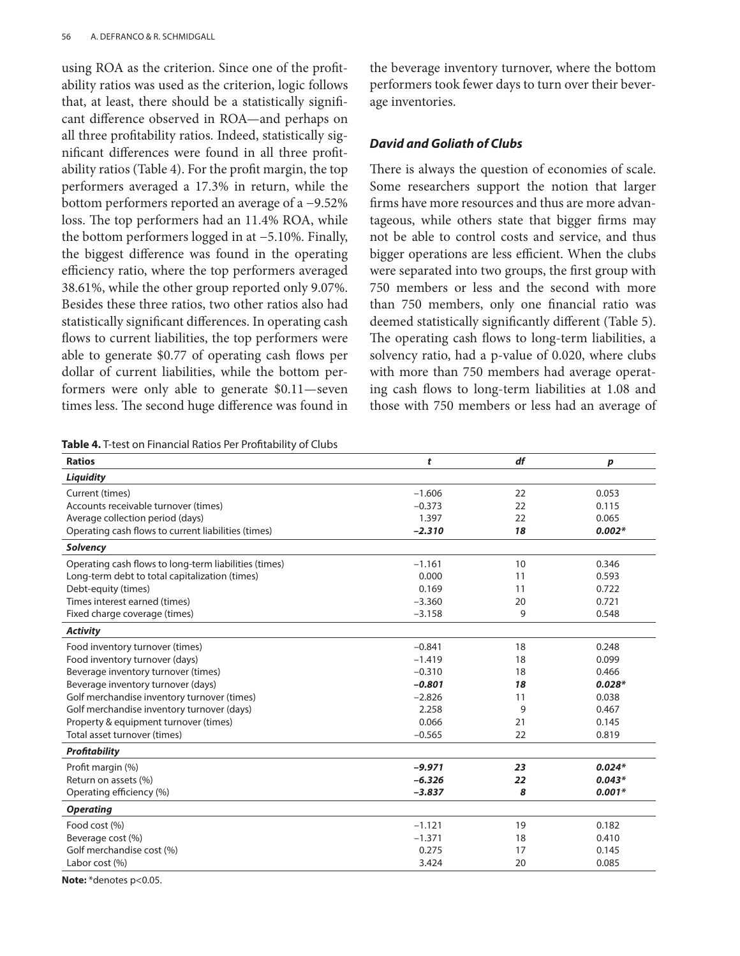using ROA as the criterion. Since one of the profitability ratios was used as the criterion, logic follows that, at least, there should be a statistically significant difference observed in ROA—and perhaps on all three profitability ratios. Indeed, statistically significant differences were found in all three profitability ratios (Table 4). For the profit margin, the top performers averaged a 17.3% in return, while the bottom performers reported an average of a −9.52% loss. The top performers had an 11.4% ROA, while the bottom performers logged in at −5.10%. Finally, the biggest difference was found in the operating efficiency ratio, where the top performers averaged 38.61%, while the other group reported only 9.07%. Besides these three ratios, two other ratios also had statistically significant differences. In operating cash flows to current liabilities, the top performers were able to generate \$0.77 of operating cash flows per dollar of current liabilities, while the bottom performers were only able to generate \$0.11—seven times less. The second huge difference was found in

| Table 4. T-test on Financial Ratios Per Profitability of Clubs |  |  |  |
|----------------------------------------------------------------|--|--|--|
|----------------------------------------------------------------|--|--|--|

the beverage inventory turnover, where the bottom performers took fewer days to turn over their beverage inventories.

## *David and Goliath of Clubs*

There is always the question of economies of scale. Some researchers support the notion that larger firms have more resources and thus are more advantageous, while others state that bigger firms may not be able to control costs and service, and thus bigger operations are less efficient. When the clubs were separated into two groups, the first group with 750 members or less and the second with more than 750 members, only one financial ratio was deemed statistically significantly different (Table 5). The operating cash flows to long-term liabilities, a solvency ratio, had a p-value of 0.020, where clubs with more than 750 members had average operating cash flows to long-term liabilities at 1.08 and those with 750 members or less had an average of

| <b>Ratios</b>                                         | t        | df | p        |
|-------------------------------------------------------|----------|----|----------|
| <b>Liquidity</b>                                      |          |    |          |
| Current (times)                                       | $-1.606$ | 22 | 0.053    |
| Accounts receivable turnover (times)                  | $-0.373$ | 22 | 0.115    |
| Average collection period (days)                      | 1.397    | 22 | 0.065    |
| Operating cash flows to current liabilities (times)   | $-2.310$ | 18 | $0.002*$ |
| <b>Solvency</b>                                       |          |    |          |
| Operating cash flows to long-term liabilities (times) | $-1.161$ | 10 | 0.346    |
| Long-term debt to total capitalization (times)        | 0.000    | 11 | 0.593    |
| Debt-equity (times)                                   | 0.169    | 11 | 0.722    |
| Times interest earned (times)                         | $-3.360$ | 20 | 0.721    |
| Fixed charge coverage (times)                         | $-3.158$ | 9  | 0.548    |
| <b>Activity</b>                                       |          |    |          |
| Food inventory turnover (times)                       | $-0.841$ | 18 | 0.248    |
| Food inventory turnover (days)                        | $-1.419$ | 18 | 0.099    |
| Beverage inventory turnover (times)                   | $-0.310$ | 18 | 0.466    |
| Beverage inventory turnover (days)                    | $-0.801$ | 18 | $0.028*$ |
| Golf merchandise inventory turnover (times)           | $-2.826$ | 11 | 0.038    |
| Golf merchandise inventory turnover (days)            | 2.258    | 9  | 0.467    |
| Property & equipment turnover (times)                 | 0.066    | 21 | 0.145    |
| Total asset turnover (times)                          | $-0.565$ | 22 | 0.819    |
| <b>Profitability</b>                                  |          |    |          |
| Profit margin (%)                                     | $-9.971$ | 23 | $0.024*$ |
| Return on assets (%)                                  | $-6.326$ | 22 | $0.043*$ |
| Operating efficiency (%)                              | $-3.837$ | 8  | $0.001*$ |
| <b>Operating</b>                                      |          |    |          |
| Food cost (%)                                         | $-1.121$ | 19 | 0.182    |
| Beverage cost (%)                                     | $-1.371$ | 18 | 0.410    |
| Golf merchandise cost (%)                             | 0.275    | 17 | 0.145    |
| Labor cost (%)                                        | 3.424    | 20 | 0.085    |

**Note:** \*denotes p<0.05.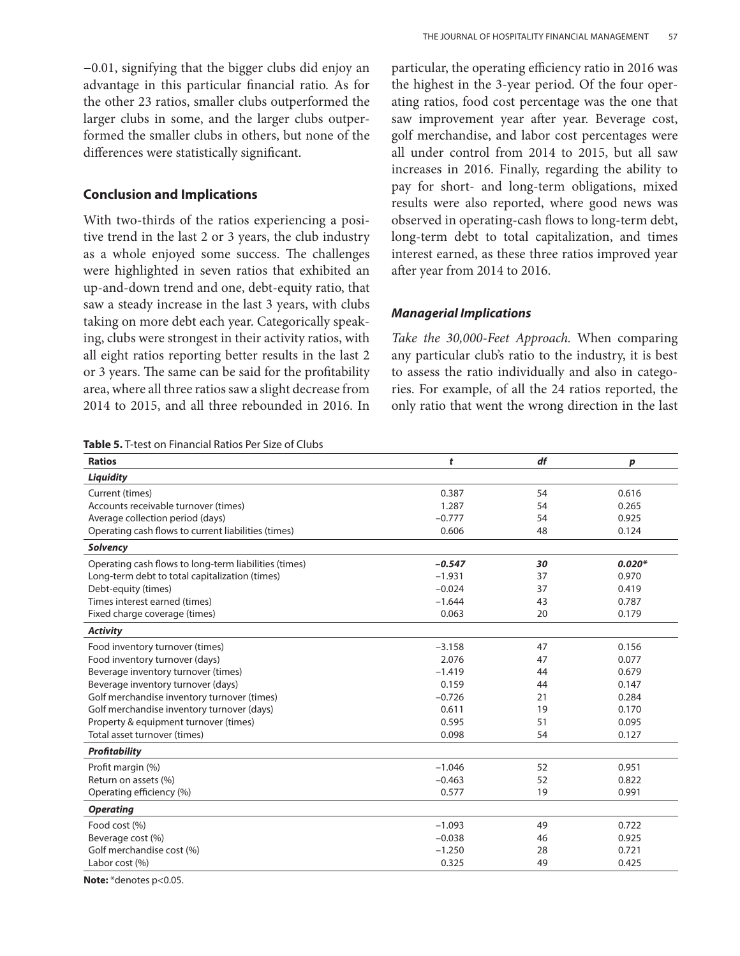−0.01, signifying that the bigger clubs did enjoy an advantage in this particular financial ratio. As for the other 23 ratios, smaller clubs outperformed the larger clubs in some, and the larger clubs outperformed the smaller clubs in others, but none of the differences were statistically significant.

## **Conclusion and Implications**

With two-thirds of the ratios experiencing a positive trend in the last 2 or 3 years, the club industry as a whole enjoyed some success. The challenges were highlighted in seven ratios that exhibited an up-and-down trend and one, debt-equity ratio, that saw a steady increase in the last 3 years, with clubs taking on more debt each year. Categorically speaking, clubs were strongest in their activity ratios, with all eight ratios reporting better results in the last 2 or 3 years. The same can be said for the profitability area, where all three ratios saw a slight decrease from 2014 to 2015, and all three rebounded in 2016. In

|  |  | <b>Table 5.</b> T-test on Financial Ratios Per Size of Clubs |
|--|--|--------------------------------------------------------------|
|--|--|--------------------------------------------------------------|

particular, the operating efficiency ratio in 2016 was the highest in the 3-year period. Of the four operating ratios, food cost percentage was the one that saw improvement year after year. Beverage cost, golf merchandise, and labor cost percentages were all under control from 2014 to 2015, but all saw increases in 2016. Finally, regarding the ability to pay for short- and long-term obligations, mixed results were also reported, where good news was observed in operating-cash flows to long-term debt, long-term debt to total capitalization, and times interest earned, as these three ratios improved year after year from 2014 to 2016.

## *Managerial Implications*

*Take the 30,000-Feet Approach.* When comparing any particular club's ratio to the industry, it is best to assess the ratio individually and also in categories. For example, of all the 24 ratios reported, the only ratio that went the wrong direction in the last

| <b>Ratios</b>                                         | t        | df | p        |
|-------------------------------------------------------|----------|----|----------|
| <b>Liquidity</b>                                      |          |    |          |
| Current (times)                                       | 0.387    | 54 | 0.616    |
| Accounts receivable turnover (times)                  | 1.287    | 54 | 0.265    |
| Average collection period (days)                      | $-0.777$ | 54 | 0.925    |
| Operating cash flows to current liabilities (times)   | 0.606    | 48 | 0.124    |
| <b>Solvency</b>                                       |          |    |          |
| Operating cash flows to long-term liabilities (times) | $-0.547$ | 30 | $0.020*$ |
| Long-term debt to total capitalization (times)        | $-1.931$ | 37 | 0.970    |
| Debt-equity (times)                                   | $-0.024$ | 37 | 0.419    |
| Times interest earned (times)                         | $-1.644$ | 43 | 0.787    |
| Fixed charge coverage (times)                         | 0.063    | 20 | 0.179    |
| <b>Activity</b>                                       |          |    |          |
| Food inventory turnover (times)                       | $-3.158$ | 47 | 0.156    |
| Food inventory turnover (days)                        | 2.076    | 47 | 0.077    |
| Beverage inventory turnover (times)                   | $-1.419$ | 44 | 0.679    |
| Beverage inventory turnover (days)                    | 0.159    | 44 | 0.147    |
| Golf merchandise inventory turnover (times)           | $-0.726$ | 21 | 0.284    |
| Golf merchandise inventory turnover (days)            | 0.611    | 19 | 0.170    |
| Property & equipment turnover (times)                 | 0.595    | 51 | 0.095    |
| Total asset turnover (times)                          | 0.098    | 54 | 0.127    |
| <b>Profitability</b>                                  |          |    |          |
| Profit margin (%)                                     | $-1.046$ | 52 | 0.951    |
| Return on assets (%)                                  | $-0.463$ | 52 | 0.822    |
| Operating efficiency (%)                              | 0.577    | 19 | 0.991    |
| <b>Operating</b>                                      |          |    |          |
| Food cost (%)                                         | $-1.093$ | 49 | 0.722    |
| Beverage cost (%)                                     | $-0.038$ | 46 | 0.925    |
| Golf merchandise cost (%)                             | $-1.250$ | 28 | 0.721    |
| Labor cost (%)                                        | 0.325    | 49 | 0.425    |

**Note:** \*denotes p<0.05.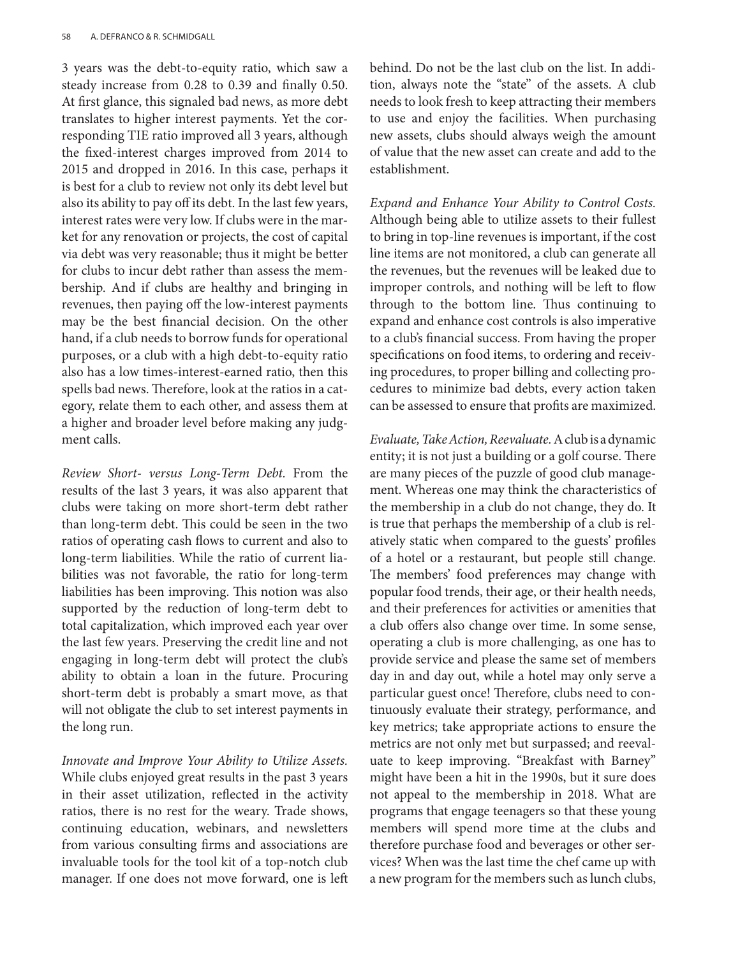3 years was the debt-to-equity ratio, which saw a steady increase from 0.28 to 0.39 and finally 0.50. At first glance, this signaled bad news, as more debt translates to higher interest payments. Yet the corresponding TIE ratio improved all 3 years, although the fixed-interest charges improved from 2014 to 2015 and dropped in 2016. In this case, perhaps it is best for a club to review not only its debt level but also its ability to pay off its debt. In the last few years, interest rates were very low. If clubs were in the market for any renovation or projects, the cost of capital via debt was very reasonable; thus it might be better for clubs to incur debt rather than assess the membership. And if clubs are healthy and bringing in revenues, then paying off the low-interest payments may be the best financial decision. On the other hand, if a club needs to borrow funds for operational purposes, or a club with a high debt-to-equity ratio also has a low times-interest-earned ratio, then this spells bad news. Therefore, look at the ratios in a category, relate them to each other, and assess them at a higher and broader level before making any judgment calls.

*Review Short- versus Long-Term Debt.* From the results of the last 3 years, it was also apparent that clubs were taking on more short-term debt rather than long-term debt. This could be seen in the two ratios of operating cash flows to current and also to long-term liabilities. While the ratio of current liabilities was not favorable, the ratio for long-term liabilities has been improving. This notion was also supported by the reduction of long-term debt to total capitalization, which improved each year over the last few years. Preserving the credit line and not engaging in long-term debt will protect the club's ability to obtain a loan in the future. Procuring short-term debt is probably a smart move, as that will not obligate the club to set interest payments in the long run.

*Innovate and Improve Your Ability to Utilize Assets.* While clubs enjoyed great results in the past 3 years in their asset utilization, reflected in the activity ratios, there is no rest for the weary. Trade shows, continuing education, webinars, and newsletters from various consulting firms and associations are invaluable tools for the tool kit of a top-notch club manager. If one does not move forward, one is left

behind. Do not be the last club on the list. In addition, always note the "state" of the assets. A club needs to look fresh to keep attracting their members to use and enjoy the facilities. When purchasing new assets, clubs should always weigh the amount of value that the new asset can create and add to the establishment.

*Expand and Enhance Your Ability to Control Costs.* Although being able to utilize assets to their fullest to bring in top-line revenues is important, if the cost line items are not monitored, a club can generate all the revenues, but the revenues will be leaked due to improper controls, and nothing will be left to flow through to the bottom line. Thus continuing to expand and enhance cost controls is also imperative to a club's financial success. From having the proper specifications on food items, to ordering and receiving procedures, to proper billing and collecting procedures to minimize bad debts, every action taken can be assessed to ensure that profits are maximized.

*Evaluate, Take Action, Reevaluate.* A club is a dynamic entity; it is not just a building or a golf course. There are many pieces of the puzzle of good club management. Whereas one may think the characteristics of the membership in a club do not change, they do. It is true that perhaps the membership of a club is relatively static when compared to the guests' profiles of a hotel or a restaurant, but people still change. The members' food preferences may change with popular food trends, their age, or their health needs, and their preferences for activities or amenities that a club offers also change over time. In some sense, operating a club is more challenging, as one has to provide service and please the same set of members day in and day out, while a hotel may only serve a particular guest once! Therefore, clubs need to continuously evaluate their strategy, performance, and key metrics; take appropriate actions to ensure the metrics are not only met but surpassed; and reevaluate to keep improving. "Breakfast with Barney" might have been a hit in the 1990s, but it sure does not appeal to the membership in 2018. What are programs that engage teenagers so that these young members will spend more time at the clubs and therefore purchase food and beverages or other services? When was the last time the chef came up with a new program for the members such as lunch clubs,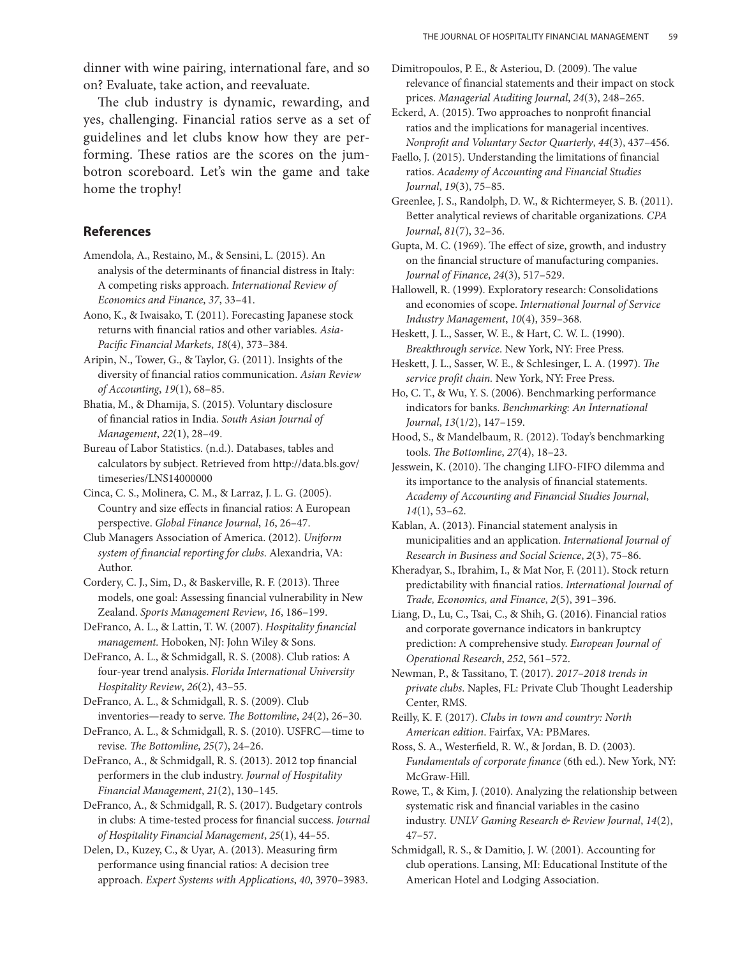dinner with wine pairing, international fare, and so on? Evaluate, take action, and reevaluate.

The club industry is dynamic, rewarding, and yes, challenging. Financial ratios serve as a set of guidelines and let clubs know how they are performing. These ratios are the scores on the jumbotron scoreboard. Let's win the game and take home the trophy!

## **References**

Amendola, A., Restaino, M., & Sensini, L. (2015). An analysis of the determinants of financial distress in Italy: A competing risks approach. *International Review of Economics and Finance*, *37*, 33–41.

Aono, K., & Iwaisako, T. (2011). Forecasting Japanese stock returns with financial ratios and other variables. *Asia-Pacific Financial Markets*, *18*(4), 373–384.

Aripin, N., Tower, G., & Taylor, G. (2011). Insights of the diversity of financial ratios communication. *Asian Review of Accounting*, *19*(1), 68–85.

Bhatia, M., & Dhamija, S. (2015). Voluntary disclosure of financial ratios in India. *South Asian Journal of Management*, *22*(1), 28–49.

Bureau of Labor Statistics. (n.d.). Databases, tables and calculators by subject. Retrieved from http://data.bls.gov/ timeseries/LNS14000000

Cinca, C. S., Molinera, C. M., & Larraz, J. L. G. (2005). Country and size effects in financial ratios: A European perspective. *Global Finance Journal*, *16*, 26–47.

Club Managers Association of America. (2012). *Uniform system of financial reporting for clubs*. Alexandria, VA: Author.

Cordery, C. J., Sim, D., & Baskerville, R. F. (2013). Three models, one goal: Assessing financial vulnerability in New Zealand. *Sports Management Review*, *16*, 186–199.

DeFranco, A. L., & Lattin, T. W. (2007). *Hospitality financial management.* Hoboken, NJ: John Wiley & Sons.

DeFranco, A. L., & Schmidgall, R. S. (2008). Club ratios: A four-year trend analysis. *Florida International University Hospitality Review*, *26*(2), 43–55.

DeFranco, A. L., & Schmidgall, R. S. (2009). Club inventories—ready to serve. *The Bottomline*, *24*(2), 26–30.

DeFranco, A. L., & Schmidgall, R. S. (2010). USFRC—time to revise. *The Bottomline*, *25*(7), 24–26.

DeFranco, A., & Schmidgall, R. S. (2013). 2012 top financial performers in the club industry. *Journal of Hospitality Financial Management*, *21*(2), 130–145.

DeFranco, A., & Schmidgall, R. S. (2017). Budgetary controls in clubs: A time-tested process for financial success. *Journal of Hospitality Financial Management*, *25*(1), 44–55.

Delen, D., Kuzey, C., & Uyar, A. (2013). Measuring firm performance using financial ratios: A decision tree approach. *Expert Systems with Applications*, *40*, 3970–3983. Dimitropoulos, P. E., & Asteriou, D. (2009). The value relevance of financial statements and their impact on stock prices. *Managerial Auditing Journal*, *24*(3), 248–265.

Eckerd, A. (2015). Two approaches to nonprofit financial ratios and the implications for managerial incentives. *Nonprofit and Voluntary Sector Quarterly*, *44*(3), 437–456.

Faello, J. (2015). Understanding the limitations of financial ratios. *Academy of Accounting and Financial Studies Journal*, *19*(3), 75–85.

Greenlee, J. S., Randolph, D. W., & Richtermeyer, S. B. (2011). Better analytical reviews of charitable organizations. *CPA Journal*, *81*(7), 32–36.

Gupta, M. C. (1969). The effect of size, growth, and industry on the financial structure of manufacturing companies. *Journal of Finance*, *24*(3), 517–529.

Hallowell, R. (1999). Exploratory research: Consolidations and economies of scope. *International Journal of Service Industry Management*, *10*(4), 359–368.

Heskett, J. L., Sasser, W. E., & Hart, C. W. L. (1990). *Breakthrough service*. New York, NY: Free Press.

Heskett, J. L., Sasser, W. E., & Schlesinger, L. A. (1997). *The service profit chain.* New York, NY: Free Press.

Ho, C. T., & Wu, Y. S. (2006). Benchmarking performance indicators for banks. *Benchmarking: An International Journal*, *13*(1/2), 147–159.

Hood, S., & Mandelbaum, R. (2012). Today's benchmarking tools. *The Bottomline*, *27*(4), 18–23.

Jesswein, K. (2010). The changing LIFO-FIFO dilemma and its importance to the analysis of financial statements. *Academy of Accounting and Financial Studies Journal*, *14*(1), 53–62.

Kablan, A. (2013). Financial statement analysis in municipalities and an application. *International Journal of Research in Business and Social Science*, *2*(3), 75–86.

Kheradyar, S., Ibrahim, I., & Mat Nor, F. (2011). Stock return predictability with financial ratios. *International Journal of Trade, Economics, and Finance*, *2*(5), 391–396.

Liang, D., Lu, C., Tsai, C., & Shih, G. (2016). Financial ratios and corporate governance indicators in bankruptcy prediction: A comprehensive study. *European Journal of Operational Research*, *252*, 561–572.

Newman, P., & Tassitano, T. (2017). *2017–2018 trends in private clubs*. Naples, FL: Private Club Thought Leadership Center, RMS.

Reilly, K. F. (2017). *Clubs in town and country: North American edition*. Fairfax, VA: PBMares.

Ross, S. A., Westerfield, R. W., & Jordan, B. D. (2003). *Fundamentals of corporate finance* (6th ed.). New York, NY: McGraw-Hill.

Rowe, T., & Kim, J. (2010). Analyzing the relationship between systematic risk and financial variables in the casino industry. *UNLV Gaming Research & Review Journal*, *14*(2), 47–57.

Schmidgall, R. S., & Damitio, J. W. (2001). Accounting for club operations. Lansing, MI: Educational Institute of the American Hotel and Lodging Association.